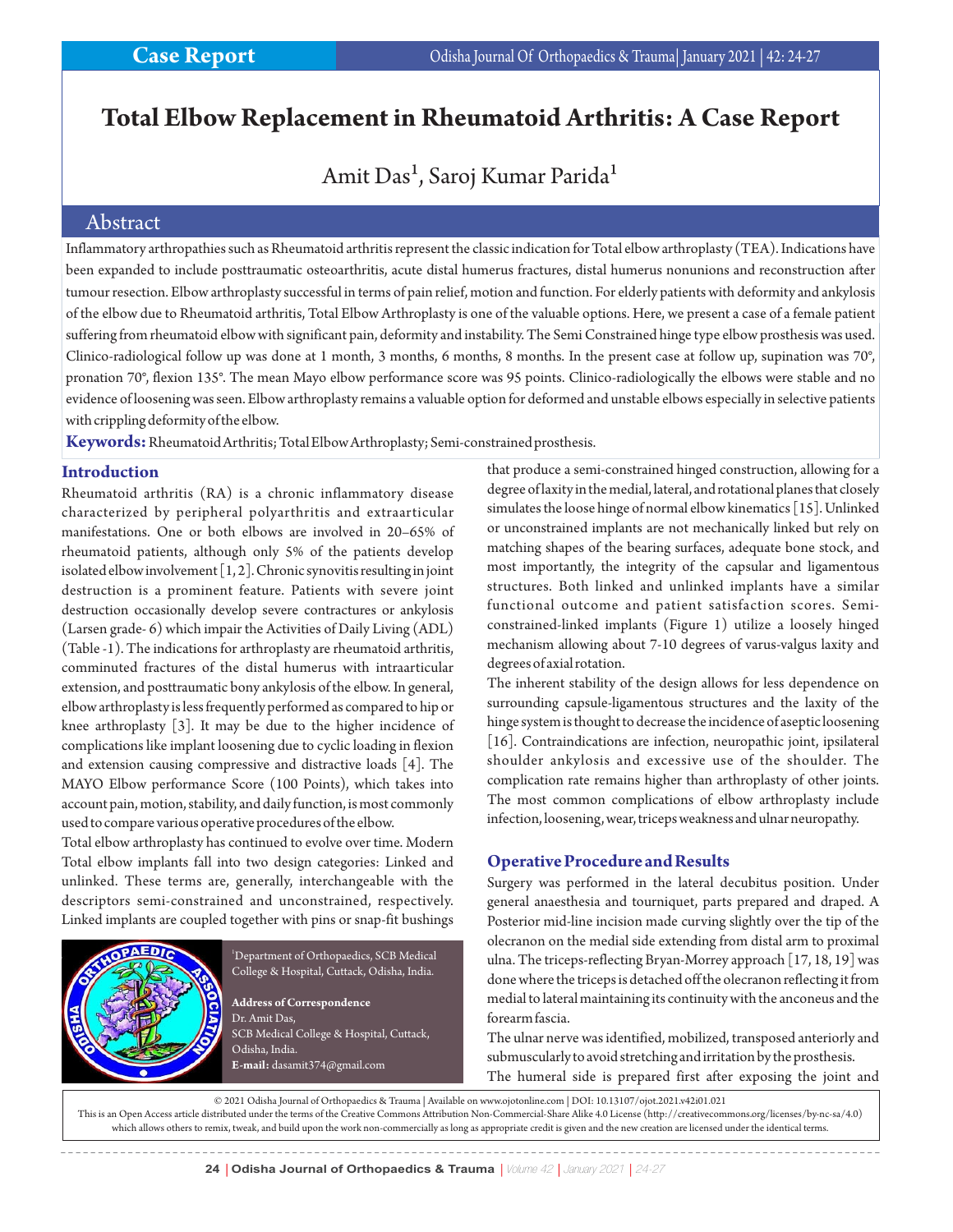# **Total Elbow Replacement in Rheumatoid Arthritis: A Case Report**

# Amit Das<sup>1</sup>, Saroj Kumar Parida<sup>1</sup>

## Abstract

Inflammatory arthropathies such as Rheumatoid arthritis represent the classic indication for Total elbow arthroplasty (TEA). Indications have been expanded to include posttraumatic osteoarthritis, acute distal humerus fractures, distal humerus nonunions and reconstruction after tumour resection. Elbow arthroplasty successful in terms of pain relief, motion and function. For elderly patients with deformity and ankylosis of the elbow due to Rheumatoid arthritis, Total Elbow Arthroplasty is one of the valuable options. Here, we present a case of a female patient suffering from rheumatoid elbow with significant pain, deformity and instability. The Semi Constrained hinge type elbow prosthesis was used. Clinico-radiological follow up was done at 1 month, 3 months, 6 months, 8 months. In the present case at follow up, supination was 70°, pronation 70°, flexion 135°. The mean Mayo elbow performance score was 95 points. Clinico-radiologically the elbows were stable and no evidence of loosening was seen. Elbow arthroplasty remains a valuable option for deformed and unstable elbows especially in selective patients with crippling deformity of the elbow.

**Keywords:**Rheumatoid Arthritis; Total Elbow Arthroplasty; Semi-constrained prosthesis.

#### **Introduction**

Rheumatoid arthritis (RA) is a chronic inflammatory disease characterized by peripheral polyarthritis and extraarticular manifestations. One or both elbows are involved in 20–65% of rheumatoid patients, although only 5% of the patients develop isolated elbow involvement [1, 2]. Chronic synovitis resulting in joint destruction is a prominent feature. Patients with severe joint destruction occasionally develop severe contractures or ankylosis (Larsen grade- 6) which impair the Activities of Daily Living (ADL) (Table -1). The indications for arthroplasty are rheumatoid arthritis, comminuted fractures of the distal humerus with intraarticular extension, and posttraumatic bony ankylosis of the elbow. In general, elbow arthroplasty is less frequently performed as compared to hip or knee arthroplasty [3]. It may be due to the higher incidence of complications like implant loosening due to cyclic loading in flexion and extension causing compressive and distractive loads [4]. The MAYO Elbow performance Score (100 Points), which takes into account pain, motion, stability, and daily function, is most commonly used to compare various operative procedures of the elbow.

Total elbow arthroplasty has continued to evolve over time. Modern Total elbow implants fall into two design categories: Linked and unlinked. These terms are, generally, interchangeable with the descriptors semi-constrained and unconstrained, respectively. Linked implants are coupled together with pins or snap-fit bushings



<sup>1</sup>Department of Orthopaedics, SCB Medical College & Hospital, Cuttack, Odisha, India.

**Address of Correspondence** Dr. Amit Das, SCB Medical College & Hospital, Cuttack, Odisha, India. **E-mail:** dasamit374@gmail.com

that produce a semi-constrained hinged construction, allowing for a degree of laxity in the medial, lateral, and rotational planes that closely simulates the loose hinge of normal elbow kinematics [15]. Unlinked or unconstrained implants are not mechanically linked but rely on matching shapes of the bearing surfaces, adequate bone stock, and most importantly, the integrity of the capsular and ligamentous structures. Both linked and unlinked implants have a similar functional outcome and patient satisfaction scores. Semiconstrained-linked implants (Figure 1) utilize a loosely hinged mechanism allowing about 7-10 degrees of varus-valgus laxity and degrees of axial rotation.

The inherent stability of the design allows for less dependence on surrounding capsule-ligamentous structures and the laxity of the hinge system is thought to decrease the incidence of aseptic loosening [16]. Contraindications are infection, neuropathic joint, ipsilateral shoulder ankylosis and excessive use of the shoulder. The complication rate remains higher than arthroplasty of other joints. The most common complications of elbow arthroplasty include infection, loosening, wear, triceps weakness and ulnar neuropathy.

## **Operative Procedure and Results**

Surgery was performed in the lateral decubitus position. Under general anaesthesia and tourniquet, parts prepared and draped. A Posterior mid-line incision made curving slightly over the tip of the olecranon on the medial side extending from distal arm to proximal ulna. The triceps-reflecting Bryan-Morrey approach [17, 18, 19] was done where the triceps is detached off the olecranon reflecting it from medial to lateral maintaining its continuity with the anconeus and the forearm fascia.

The ulnar nerve was identified, mobilized, transposed anteriorly and submuscularly to avoid stretching and irritation by the prosthesis. The humeral side is prepared first after exposing the joint and

© 2021 Odisha Journal of Orthopaedics & Trauma | Available on www.ojotonline.com | DOI: 10.13107/ojot.2021.v42i01.021

This is an Open Access article distributed under the terms of the Creative Commons Attribution Non-Commercial-Share Alike 4.0 License (http://creativecommons.org/licenses/by-nc-sa/4.0) which allows others to remix, tweak, and build upon the work non-commercially as long as appropriate credit is given and the new creation are licensed under the identical terms.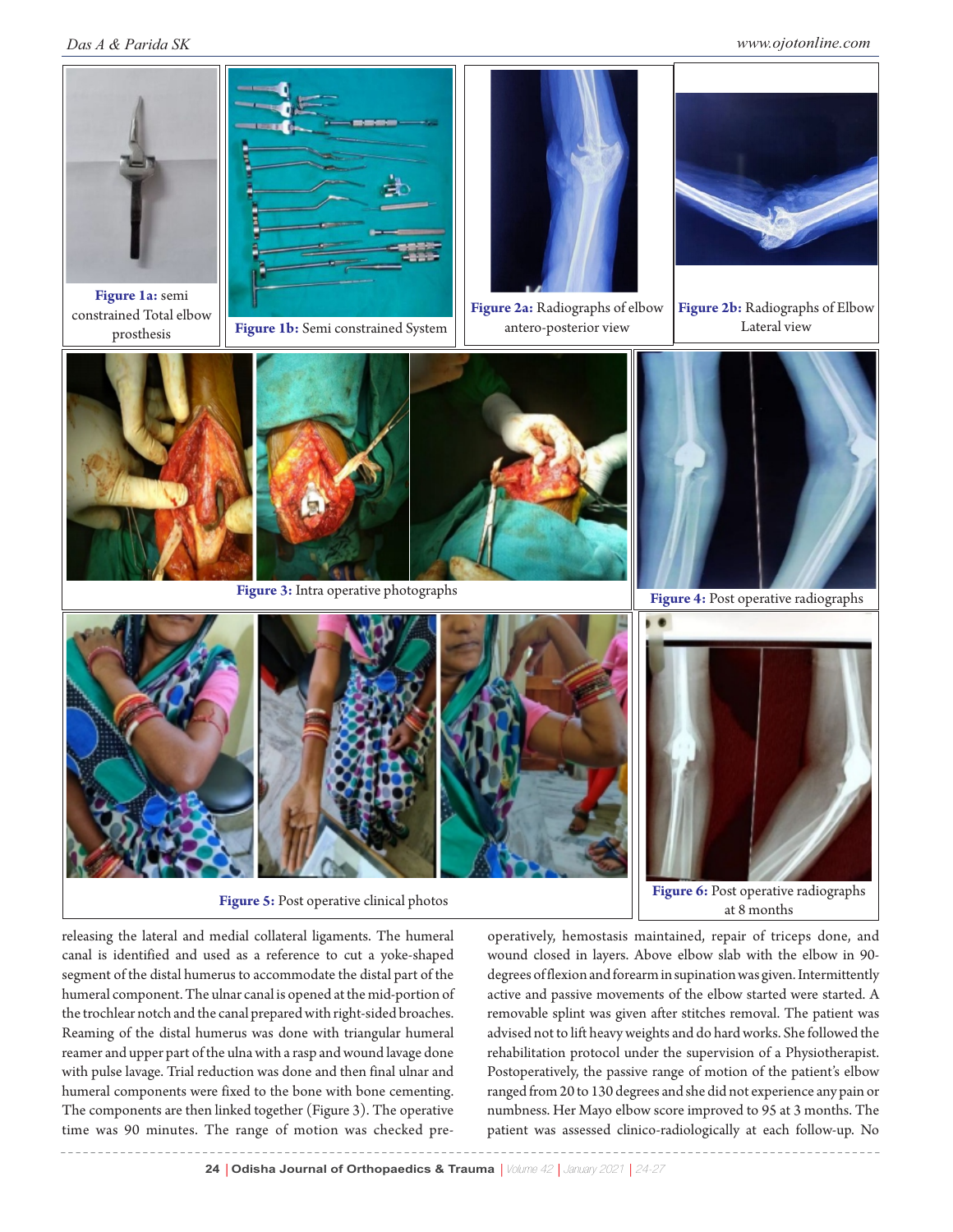#### *Das A & Parida SK www.ojotonline.com*



releasing the lateral and medial collateral ligaments. The humeral canal is identified and used as a reference to cut a yoke-shaped segment of the distal humerus to accommodate the distal part of the humeral component. The ulnar canal is opened at the mid-portion of the trochlear notch and the canal prepared with right-sided broaches. Reaming of the distal humerus was done with triangular humeral reamer and upper part of the ulna with a rasp and wound lavage done with pulse lavage. Trial reduction was done and then final ulnar and humeral components were fixed to the bone with bone cementing. The components are then linked together (Figure 3). The operative time was 90 minutes. The range of motion was checked preoperatively, hemostasis maintained, repair of triceps done, and wound closed in layers. Above elbow slab with the elbow in 90 degrees of flexion and forearm in supination was given. Intermittently active and passive movements of the elbow started were started. A removable splint was given after stitches removal. The patient was advised not to lift heavy weights and do hard works. She followed the rehabilitation protocol under the supervision of a Physiotherapist. Postoperatively, the passive range of motion of the patient's elbow ranged from 20 to 130 degrees and she did not experience any pain or numbness. Her Mayo elbow score improved to 95 at 3 months. The patient was assessed clinico-radiologically at each follow-up. No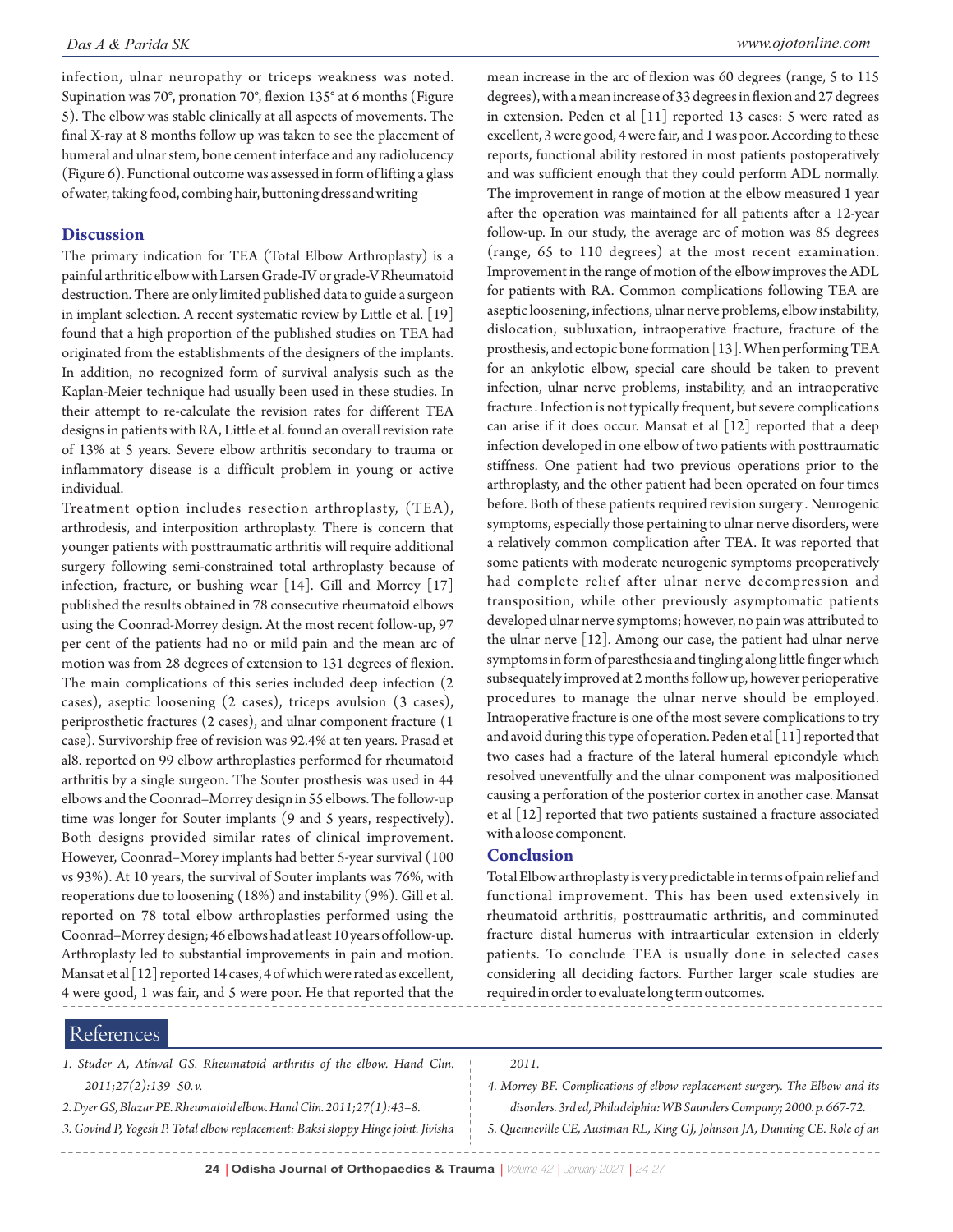infection, ulnar neuropathy or triceps weakness was noted. Supination was 70°, pronation 70°, flexion 135° at 6 months (Figure 5). The elbow was stable clinically at all aspects of movements. The final X-ray at 8 months follow up was taken to see the placement of humeral and ulnar stem, bone cement interface and any radiolucency (Figure 6). Functional outcome was assessed in form of lifting a glass of water, taking food, combing hair, buttoning dress and writing

#### **Discussion**

The primary indication for TEA (Total Elbow Arthroplasty) is a painful arthritic elbow with Larsen Grade-IV or grade-V Rheumatoid destruction. There are only limited published data to guide a surgeon in implant selection. A recent systematic review by Little et al. [19] found that a high proportion of the published studies on TEA had originated from the establishments of the designers of the implants. In addition, no recognized form of survival analysis such as the Kaplan-Meier technique had usually been used in these studies. In their attempt to re-calculate the revision rates for different TEA designs in patients with RA, Little et al. found an overall revision rate of 13% at 5 years. Severe elbow arthritis secondary to trauma or inflammatory disease is a difficult problem in young or active individual.

Treatment option includes resection arthroplasty, (TEA), arthrodesis, and interposition arthroplasty. There is concern that younger patients with posttraumatic arthritis will require additional surgery following semi-constrained total arthroplasty because of infection, fracture, or bushing wear [14]. Gill and Morrey [17] published the results obtained in 78 consecutive rheumatoid elbows using the Coonrad-Morrey design. At the most recent follow-up, 97 per cent of the patients had no or mild pain and the mean arc of motion was from 28 degrees of extension to 131 degrees of flexion. The main complications of this series included deep infection (2 cases), aseptic loosening (2 cases), triceps avulsion (3 cases), periprosthetic fractures (2 cases), and ulnar component fracture (1 case). Survivorship free of revision was 92.4% at ten years. Prasad et al8. reported on 99 elbow arthroplasties performed for rheumatoid arthritis by a single surgeon. The Souter prosthesis was used in 44 elbows and the Coonrad–Morrey design in 55 elbows. The follow-up time was longer for Souter implants (9 and 5 years, respectively). Both designs provided similar rates of clinical improvement. However, Coonrad–Morey implants had better 5-year survival (100 vs 93%). At 10 years, the survival of Souter implants was 76%, with reoperations due to loosening (18%) and instability (9%). Gill et al. reported on 78 total elbow arthroplasties performed using the Coonrad–Morrey design; 46 elbows had at least 10 years of follow-up. Arthroplasty led to substantial improvements in pain and motion. Mansat et al [12] reported 14 cases, 4 of which were rated as excellent, 4 were good, 1 was fair, and 5 were poor. He that reported that the

mean increase in the arc of flexion was 60 degrees (range, 5 to 115 degrees), with a mean increase of 33 degrees in flexion and 27 degrees in extension. Peden et al [11] reported 13 cases: 5 were rated as excellent, 3 were good, 4 were fair, and 1 was poor. According to these reports, functional ability restored in most patients postoperatively and was sufficient enough that they could perform ADL normally. The improvement in range of motion at the elbow measured 1 year after the operation was maintained for all patients after a 12-year follow-up. In our study, the average arc of motion was 85 degrees (range, 65 to 110 degrees) at the most recent examination. Improvement in the range of motion of the elbow improves the ADL for patients with RA. Common complications following TEA are aseptic loosening, infections, ulnar nerve problems, elbow instability, dislocation, subluxation, intraoperative fracture, fracture of the prosthesis, and ectopic bone formation [13]. When performing TEA for an ankylotic elbow, special care should be taken to prevent infection, ulnar nerve problems, instability, and an intraoperative fracture . Infection is not typically frequent, but severe complications can arise if it does occur. Mansat et al [12] reported that a deep infection developed in one elbow of two patients with posttraumatic stiffness. One patient had two previous operations prior to the arthroplasty, and the other patient had been operated on four times before. Both of these patients required revision surgery . Neurogenic symptoms, especially those pertaining to ulnar nerve disorders, were a relatively common complication after TEA. It was reported that some patients with moderate neurogenic symptoms preoperatively had complete relief after ulnar nerve decompression and transposition, while other previously asymptomatic patients developed ulnar nerve symptoms; however, no pain was attributed to the ulnar nerve [12]. Among our case, the patient had ulnar nerve symptoms in form of paresthesia and tingling along little finger which subsequately improved at 2 months follow up, however perioperative procedures to manage the ulnar nerve should be employed. Intraoperative fracture is one of the most severe complications to try and avoid during this type of operation. Peden et al [11] reported that two cases had a fracture of the lateral humeral epicondyle which resolved uneventfully and the ulnar component was malpositioned causing a perforation of the posterior cortex in another case. Mansat et al [12] reported that two patients sustained a fracture associated with a loose component.

#### **Conclusion**

Total Elbow arthroplasty is very predictable in terms of pain relief and functional improvement. This has been used extensively in rheumatoid arthritis, posttraumatic arthritis, and comminuted fracture distal humerus with intraarticular extension in elderly patients. To conclude TEA is usually done in selected cases considering all deciding factors. Further larger scale studies are required in order to evaluate long term outcomes.

### References

- *1. Studer A, Athwal GS. Rheumatoid arthritis of the elbow. Hand Clin. 2011;27(2):139–50. v.*
- *2. Dyer GS, Blazar PE. Rheumatoid elbow. Hand Clin. 2011;27(1):43–8.*
- *3. Govind P, Yogesh P. Total elbow replacement: Baksi sloppy Hinge joint. Jivisha*

*2011.*

- *4. Morrey BF. Complications of elbow replacement surgery. The Elbow and its disorders. 3rd ed, Philadelphia: WB Saunders Company; 2000. p. 667-72.*
- *5. Quenneville CE, Austman RL, King GJ, Johnson JA, Dunning CE. Role of an*

----------------------------